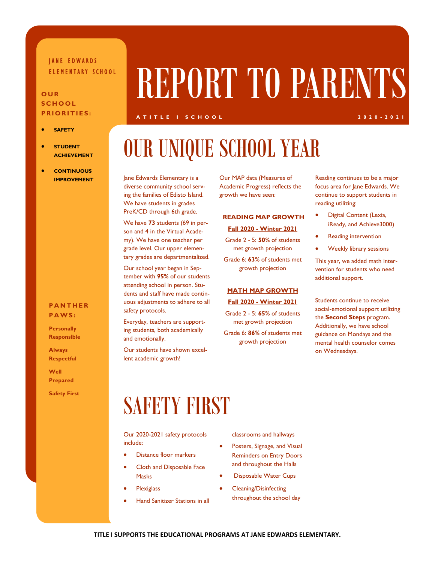### JANE EDWARDS

#### **OUR SCHOOL PRIORITIES:**

- **SAFETY**
- **STUDENT ACHIEVEMENT**
- **CONTINUOUS IMPROVEMENT**

#### **PANTHER PAWS:**

**Personally Responsible** 

**Always Respectful** 

**Well Prepared** 

**Safety First** 

# ELEMENTARY SCHOOL REPORT TO PARENTS

#### **ATITLE I SCHOOL 2020-2021**

## OUR UNIQUE SCHOOL YEAR

Jane Edwards Elementary is a diverse community school serving the families of Edisto Island. We have students in grades PreK/CD through 6th grade.

We have **73** students (69 in person and 4 in the Virtual Academy). We have one teacher per grade level. Our upper elementary grades are departmentalized.

Our school year began in September with **95%** of our students attending school in person. Students and staff have made continuous adjustments to adhere to all safety protocols.

Everyday, teachers are supporting students, both academically and emotionally.

Our students have shown excellent academic growth!

Our MAP data (Measures of Academic Progress) reflects the growth we have seen:

#### **READING MAP GROWTH**

#### **Fall 2020 - Winter 2021**

Grade 2 - 5: **50%** of students met growth projection

Grade 6: **63%** of students met growth projection

#### **MATH MAP GROWTH**

#### **Fall 2020 - Winter 2021**

Grade 2 - 5: **65%** of students met growth projection

Grade 6: **86%** of students met growth projection

Reading continues to be a major focus area for Jane Edwards. We continue to support students in reading utilizing:

- Digital Content (Lexia, iReady, and Achieve3000)
- Reading intervention
- Weekly library sessions

This year, we added math intervention for students who need additional support.

Students continue to receive social-emotional support utilizing the **Second Steps** program. Additionally, we have school guidance on Mondays and the mental health counselor comes on Wednesdays.

### **SAFETY FIRST**

Our 2020-2021 safety protocols include:

- Distance floor markers
- Cloth and Disposable Face Masks
- **Plexiglass**
- Hand Sanitizer Stations in all

classrooms and hallways

- Posters, Signage, and Visual Reminders on Entry Doors and throughout the Halls
- Disposable Water Cups
- Cleaning/Disinfecting throughout the school day